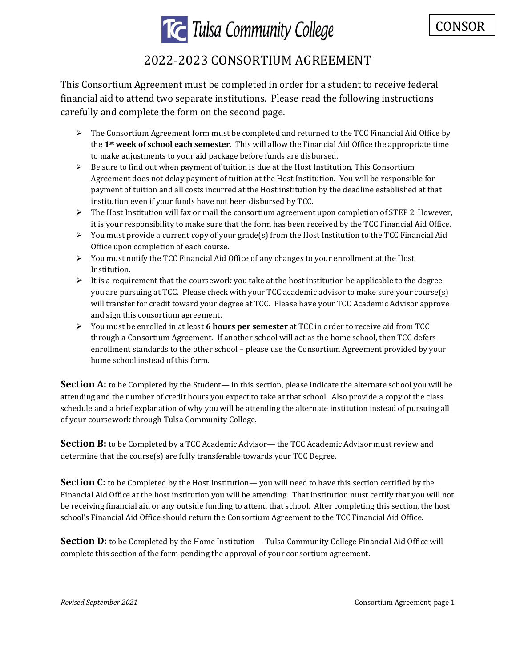

## **TG** Tulsa Community College

## 2022-2023 CONSORTIUM AGREEMENT

This Consortium Agreement must be completed in order for a student to receive federal financial aid to attend two separate institutions. Please read the following instructions carefully and complete the form on the second page.

- $\triangleright$  The Consortium Agreement form must be completed and returned to the TCC Financial Aid Office by the **1st week of school each semester**. This will allow the Financial Aid Office the appropriate time to make adjustments to your aid package before funds are disbursed.
- $\triangleright$  Be sure to find out when payment of tuition is due at the Host Institution. This Consortium Agreement does not delay payment of tuition at the Host Institution. You will be responsible for payment of tuition and all costs incurred at the Host institution by the deadline established at that institution even if your funds have not been disbursed by TCC.
- ➢ The Host Institution will fax or mail the consortium agreement upon completion of STEP 2. However, it is your responsibility to make sure that the form has been received by the TCC Financial Aid Office.
- $\triangleright$  You must provide a current copy of your grade(s) from the Host Institution to the TCC Financial Aid Office upon completion of each course.
- $\triangleright$  You must notify the TCC Financial Aid Office of any changes to your enrollment at the Host Institution.
- $\triangleright$  It is a requirement that the coursework you take at the host institution be applicable to the degree you are pursuing at TCC. Please check with your TCC academic advisor to make sure your course(s) will transfer for credit toward your degree at TCC. Please have your TCC Academic Advisor approve and sign this consortium agreement.
- ➢ You must be enrolled in at least **6 hours per semester** at TCC in order to receive aid from TCC through a Consortium Agreement. If another school will act as the home school, then TCC defers enrollment standards to the other school – please use the Consortium Agreement provided by your home school instead of this form.

**Section A:** to be Completed by the Student— in this section, please indicate the alternate school you will be attending and the number of credit hours you expect to take at that school. Also provide a copy of the class schedule and a brief explanation of why you will be attending the alternate institution instead of pursuing all of your coursework through Tulsa Community College.

**Section B:** to be Completed by a TCC Academic Advisor— the TCC Academic Advisor must review and determine that the course(s) are fully transferable towards your TCC Degree.

**Section C:** to be Completed by the Host Institution— you will need to have this section certified by the Financial Aid Office at the host institution you will be attending. That institution must certify that you will not be receiving financial aid or any outside funding to attend that school. After completing this section, the host school's Financial Aid Office should return the Consortium Agreement to the TCC Financial Aid Office.

**Section D:** to be Completed by the Home Institution— Tulsa Community College Financial Aid Office will complete this section of the form pending the approval of your consortium agreement.